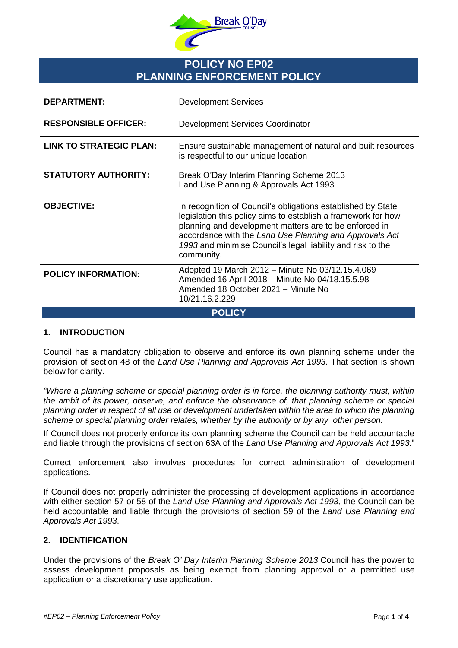

# **POLICY NO EP02 PLANNING ENFORCEMENT POLICY**

| <b>DEPARTMENT:</b>             | <b>Development Services</b>                                                                                                                                                                                                                                                                                                     |
|--------------------------------|---------------------------------------------------------------------------------------------------------------------------------------------------------------------------------------------------------------------------------------------------------------------------------------------------------------------------------|
| <b>RESPONSIBLE OFFICER:</b>    | <b>Development Services Coordinator</b>                                                                                                                                                                                                                                                                                         |
| <b>LINK TO STRATEGIC PLAN:</b> | Ensure sustainable management of natural and built resources<br>is respectful to our unique location                                                                                                                                                                                                                            |
| <b>STATUTORY AUTHORITY:</b>    | Break O'Day Interim Planning Scheme 2013<br>Land Use Planning & Approvals Act 1993                                                                                                                                                                                                                                              |
| <b>OBJECTIVE:</b>              | In recognition of Council's obligations established by State<br>legislation this policy aims to establish a framework for how<br>planning and development matters are to be enforced in<br>accordance with the Land Use Planning and Approvals Act<br>1993 and minimise Council's legal liability and risk to the<br>community. |
| <b>POLICY INFORMATION:</b>     | Adopted 19 March 2012 – Minute No 03/12.15.4.069<br>Amended 16 April 2018 - Minute No 04/18.15.5.98<br>Amended 18 October 2021 - Minute No<br>10/21.16.2.229                                                                                                                                                                    |
| <b>POLICY</b>                  |                                                                                                                                                                                                                                                                                                                                 |

#### **1. INTRODUCTION**

Council has a mandatory obligation to observe and enforce its own planning scheme under the provision of section 48 of the *Land Use Planning and Approvals Act 1993*. That section is shown below for clarity.

*"Where a planning scheme or special planning order is in force, the planning authority must, within the ambit of its power, observe, and enforce the observance of, that planning scheme or special planning order in respect of all use or development undertaken within the area to which the planning scheme or special planning order relates, whether by the authority or by any other person.*

If Council does not properly enforce its own planning scheme the Council can be held accountable and liable through the provisions of section 63A of the *Land Use Planning and Approvals Act 1993*."

Correct enforcement also involves procedures for correct administration of development applications.

If Council does not properly administer the processing of development applications in accordance with either section 57 or 58 of the *Land Use Planning and Approvals Act 1993,* the Council can be held accountable and liable through the provisions of section 59 of the *Land Use Planning and Approvals Act 1993*.

## **2. IDENTIFICATION**

Under the provisions of the *Break O' Day Interim Planning Scheme 2013* Council has the power to assess development proposals as being exempt from planning approval or a permitted use application or a discretionary use application.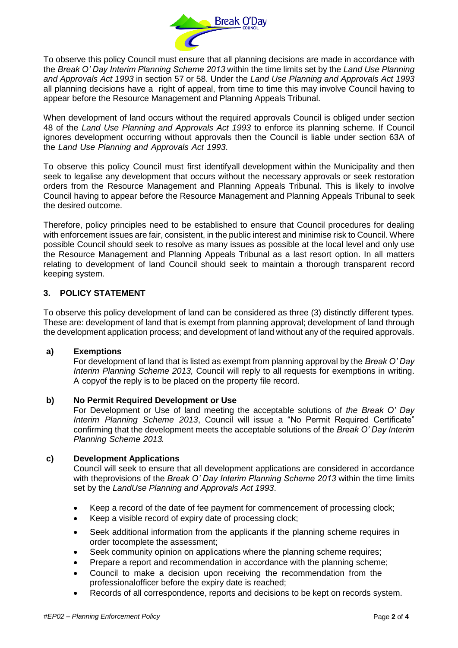

To observe this policy Council must ensure that all planning decisions are made in accordance with the *Break O' Day Interim Planning Scheme 2013* within the time limits set by the *Land Use Planning and Approvals Act 1993* in section 57 or 58. Under the *Land Use Planning and Approvals Act 1993* all planning decisions have a right of appeal, from time to time this may involve Council having to appear before the Resource Management and Planning Appeals Tribunal.

When development of land occurs without the required approvals Council is obliged under section 48 of the *Land Use Planning and Approvals Act 1993* to enforce its planning scheme. If Council ignores development occurring without approvals then the Council is liable under section 63A of the *Land Use Planning and Approvals Act 1993*.

To observe this policy Council must first identifyall development within the Municipality and then seek to legalise any development that occurs without the necessary approvals or seek restoration orders from the Resource Management and Planning Appeals Tribunal. This is likely to involve Council having to appear before the Resource Management and Planning Appeals Tribunal to seek the desired outcome.

Therefore, policy principles need to be established to ensure that Council procedures for dealing with enforcement issues are fair, consistent, in the public interest and minimise risk to Council. Where possible Council should seek to resolve as many issues as possible at the local level and only use the Resource Management and Planning Appeals Tribunal as a last resort option. In all matters relating to development of land Council should seek to maintain a thorough transparent record keeping system.

# **3. POLICY STATEMENT**

To observe this policy development of land can be considered as three (3) distinctly different types. These are: development of land that is exempt from planning approval; development of land through the development application process; and development of land without any of the required approvals.

## **a) Exemptions**

For development of land that is listed as exempt from planning approval by the *Break O' Day Interim Planning Scheme 2013,* Council will reply to all requests for exemptions in writing. A copyof the reply is to be placed on the property file record.

## **b) No Permit Required Development or Use**

For Development or Use of land meeting the acceptable solutions of *the Break O' Day Interim Planning Scheme 2013*, Council will issue a "No Permit Required Certificate" confirming that the development meets the acceptable solutions of the *Break O' Day Interim Planning Scheme 2013.*

## **c) Development Applications**

Council will seek to ensure that all development applications are considered in accordance with theprovisions of the *Break O' Day Interim Planning Scheme 2013* within the time limits set by the *LandUse Planning and Approvals Act 1993*.

- Keep a record of the date of fee payment for commencement of processing clock;
- Keep a visible record of expiry date of processing clock;
- Seek additional information from the applicants if the planning scheme requires in order tocomplete the assessment;
- Seek community opinion on applications where the planning scheme requires;
- Prepare a report and recommendation in accordance with the planning scheme;
- Council to make a decision upon receiving the recommendation from the professionalofficer before the expiry date is reached;
- Records of all correspondence, reports and decisions to be kept on records system.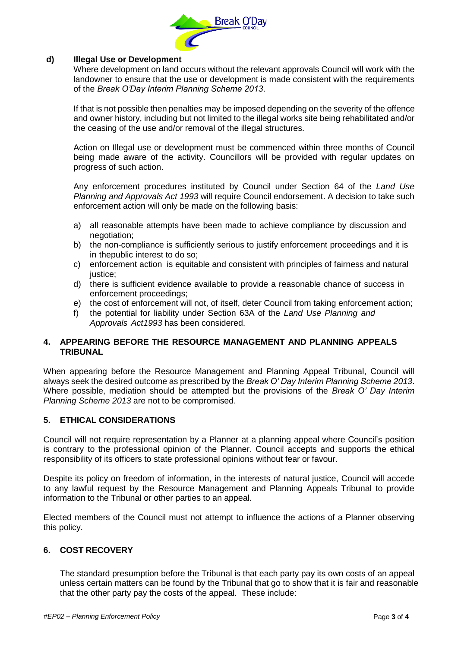

## **d) Illegal Use or Development**

Where development on land occurs without the relevant approvals Council will work with the landowner to ensure that the use or development is made consistent with the requirements of the *Break O'Day Interim Planning Scheme 2013*.

If that is not possible then penalties may be imposed depending on the severity of the offence and owner history, including but not limited to the illegal works site being rehabilitated and/or the ceasing of the use and/or removal of the illegal structures.

Action on Illegal use or development must be commenced within three months of Council being made aware of the activity. Councillors will be provided with regular updates on progress of such action.

Any enforcement procedures instituted by Council under Section 64 of the *Land Use Planning and Approvals Act 1993* will require Council endorsement. A decision to take such enforcement action will only be made on the following basis:

- a) all reasonable attempts have been made to achieve compliance by discussion and negotiation;
- b) the non-compliance is sufficiently serious to justify enforcement proceedings and it is in thepublic interest to do so;
- c) enforcement action is equitable and consistent with principles of fairness and natural justice:
- d) there is sufficient evidence available to provide a reasonable chance of success in enforcement proceedings;
- e) the cost of enforcement will not, of itself, deter Council from taking enforcement action;
- f) the potential for liability under Section 63A of the *Land Use Planning and Approvals Act1993* has been considered.

## **4. APPEARING BEFORE THE RESOURCE MANAGEMENT AND PLANNING APPEALS TRIBUNAL**

When appearing before the Resource Management and Planning Appeal Tribunal, Council will always seek the desired outcome as prescribed by the *Break O' Day Interim Planning Scheme 2013*. Where possible, mediation should be attempted but the provisions of the *Break O' Day Interim Planning Scheme 2013* are not to be compromised.

## **5. ETHICAL CONSIDERATIONS**

Council will not require representation by a Planner at a planning appeal where Council's position is contrary to the professional opinion of the Planner. Council accepts and supports the ethical responsibility of its officers to state professional opinions without fear or favour.

Despite its policy on freedom of information, in the interests of natural justice, Council will accede to any lawful request by the Resource Management and Planning Appeals Tribunal to provide information to the Tribunal or other parties to an appeal.

Elected members of the Council must not attempt to influence the actions of a Planner observing this policy.

## **6. COST RECOVERY**

The standard presumption before the Tribunal is that each party pay its own costs of an appeal unless certain matters can be found by the Tribunal that go to show that it is fair and reasonable that the other party pay the costs of the appeal. These include: